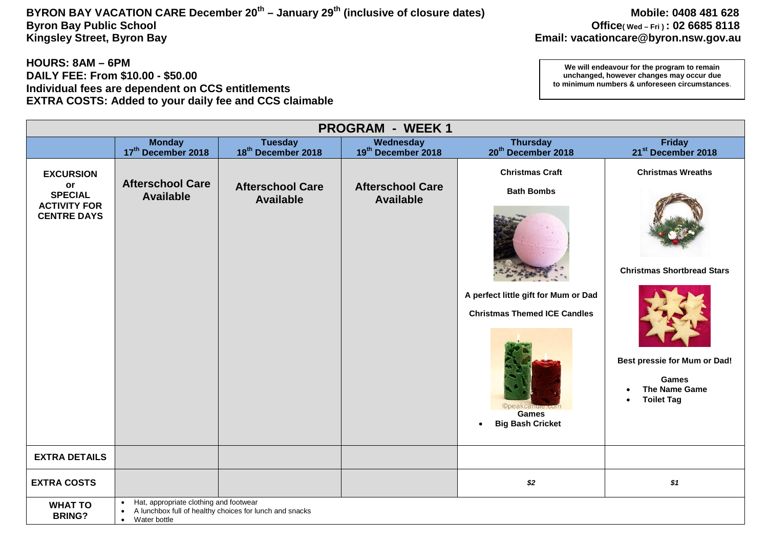## **BYRON BAY VACATION CARE December 20th – January 29th (inclusive of closure dates) Mobile: 0408 481 628 Byron Bay Public School Office( Wed – Fri ) : 02 6685 8118**

#### **HOURS: 8AM – 6PM DAILY FEE: From \$10.00 - \$50.00 Individual fees are dependent on CCS entitlements EXTRA COSTS: Added to your daily fee and CCS claimable**

| <b>PROGRAM - WEEK1</b>                                                                |                                                                                                                                                          |                                                                               |                                                                   |                                                                                                                                                                                                                                 |                                                                                                                                                                                       |  |  |
|---------------------------------------------------------------------------------------|----------------------------------------------------------------------------------------------------------------------------------------------------------|-------------------------------------------------------------------------------|-------------------------------------------------------------------|---------------------------------------------------------------------------------------------------------------------------------------------------------------------------------------------------------------------------------|---------------------------------------------------------------------------------------------------------------------------------------------------------------------------------------|--|--|
|                                                                                       | <b>Monday</b>                                                                                                                                            | <b>Tuesday</b>                                                                | Wednesday                                                         | <b>Thursday</b>                                                                                                                                                                                                                 | <b>Friday</b>                                                                                                                                                                         |  |  |
| <b>EXCURSION</b><br>or<br><b>SPECIAL</b><br><b>ACTIVITY FOR</b><br><b>CENTRE DAYS</b> | 17th December 2018<br><b>Afterschool Care</b><br><b>Available</b>                                                                                        | 18 <sup>th</sup> December 2018<br><b>Afterschool Care</b><br><b>Available</b> | 19th December 2018<br><b>Afterschool Care</b><br><b>Available</b> | 20 <sup>th</sup> December 2018<br><b>Christmas Craft</b><br><b>Bath Bombs</b><br>A perfect little gift for Mum or Dad<br><b>Christmas Themed ICE Candles</b><br>Opeakca<br><b>Games</b><br><b>Big Bash Cricket</b><br>$\bullet$ | 21 <sup>st</sup> December 2018<br><b>Christmas Wreaths</b><br><b>Christmas Shortbread Stars</b><br>Best pressie for Mum or Dad!<br><b>Games</b><br>The Name Game<br><b>Toilet Tag</b> |  |  |
| <b>EXTRA DETAILS</b>                                                                  |                                                                                                                                                          |                                                                               |                                                                   |                                                                                                                                                                                                                                 |                                                                                                                                                                                       |  |  |
| <b>EXTRA COSTS</b>                                                                    |                                                                                                                                                          |                                                                               |                                                                   | $$2$$                                                                                                                                                                                                                           | \$1                                                                                                                                                                                   |  |  |
| <b>WHAT TO</b><br><b>BRING?</b>                                                       | Hat, appropriate clothing and footwear<br>$\bullet$<br>A lunchbox full of healthy choices for lunch and snacks<br>$\bullet$<br>Water bottle<br>$\bullet$ |                                                                               |                                                                   |                                                                                                                                                                                                                                 |                                                                                                                                                                                       |  |  |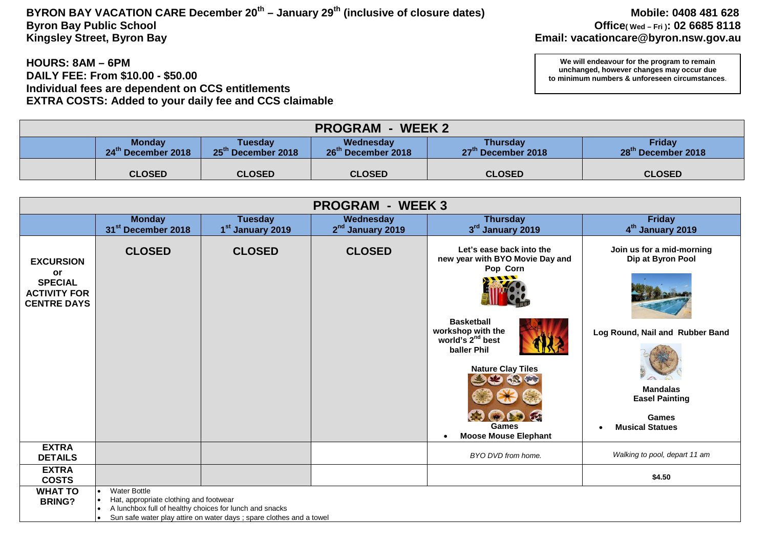# **BYRON BAY VACATION CARE December 20th – January 29th (inclusive of closure dates) Mobile: 0408 481 628 Byron Bay Public School Office( Wed – Fri ): 02 6685 8118**

#### **HOURS: 8AM – 6PM DAILY FEE: From \$10.00 - \$50.00 Individual fees are dependent on CCS entitlements EXTRA COSTS: Added to your daily fee and CCS claimable**

| <b>PROGRAM - WEEK 2</b> |                                                                                                                                                                                                                      |               |               |               |               |  |  |
|-------------------------|----------------------------------------------------------------------------------------------------------------------------------------------------------------------------------------------------------------------|---------------|---------------|---------------|---------------|--|--|
|                         | Friday<br><b>Monday</b><br>Wednesday<br><b>Thursday</b><br>Tuesdav<br>25 <sup>th</sup> December 2018<br>26 <sup>th</sup> December 2018<br>24th December 2018<br>28th December 2018<br>27 <sup>th</sup> December 2018 |               |               |               |               |  |  |
|                         | <b>CLOSED</b>                                                                                                                                                                                                        | <b>CLOSED</b> | <b>CLOSED</b> | <b>CLOSED</b> | <b>CLOSED</b> |  |  |

| <b>PROGRAM - WEEK3</b>                                      |                                                                                                                                                                                                                                                      |                  |                              |                                                                                       |                                                |  |  |
|-------------------------------------------------------------|------------------------------------------------------------------------------------------------------------------------------------------------------------------------------------------------------------------------------------------------------|------------------|------------------------------|---------------------------------------------------------------------------------------|------------------------------------------------|--|--|
|                                                             | <b>Monday</b>                                                                                                                                                                                                                                        | <b>Tuesday</b>   | Wednesday                    | <b>Thursday</b>                                                                       | <b>Friday</b>                                  |  |  |
|                                                             | 31 <sup>st</sup> December 2018                                                                                                                                                                                                                       | 1st January 2019 | 2 <sup>nd</sup> January 2019 | 3rd January 2019                                                                      | 4 <sup>th</sup> January 2019                   |  |  |
| <b>EXCURSION</b><br><b>or</b>                               | <b>CLOSED</b>                                                                                                                                                                                                                                        | <b>CLOSED</b>    | <b>CLOSED</b>                | Let's ease back into the<br>new year with BYO Movie Day and<br>Pop Corn               | Join us for a mid-morning<br>Dip at Byron Pool |  |  |
| <b>SPECIAL</b><br><b>ACTIVITY FOR</b><br><b>CENTRE DAYS</b> |                                                                                                                                                                                                                                                      |                  |                              |                                                                                       |                                                |  |  |
|                                                             |                                                                                                                                                                                                                                                      |                  |                              | <b>Basketball</b><br>workshop with the<br>world's 2 <sup>nd</sup> best<br>baller Phil | Log Round, Nail and Rubber Band                |  |  |
|                                                             |                                                                                                                                                                                                                                                      |                  |                              | <b>Nature Clay Tiles</b>                                                              | <b>Mandalas</b><br><b>Easel Painting</b>       |  |  |
|                                                             |                                                                                                                                                                                                                                                      |                  |                              | <b>Games</b><br><b>Moose Mouse Elephant</b>                                           | Games<br><b>Musical Statues</b>                |  |  |
| <b>EXTRA</b><br><b>DETAILS</b>                              |                                                                                                                                                                                                                                                      |                  |                              | BYO DVD from home.                                                                    | Walking to pool, depart 11 am                  |  |  |
| <b>EXTRA</b><br><b>COSTS</b>                                |                                                                                                                                                                                                                                                      |                  |                              |                                                                                       | \$4.50                                         |  |  |
| <b>WHAT TO</b><br><b>BRING?</b>                             | <b>Water Bottle</b><br>$\bullet$<br>Hat, appropriate clothing and footwear<br>$\bullet$<br>A lunchbox full of healthy choices for lunch and snacks<br>$\bullet$<br>Sun safe water play attire on water days ; spare clothes and a towel<br>$\bullet$ |                  |                              |                                                                                       |                                                |  |  |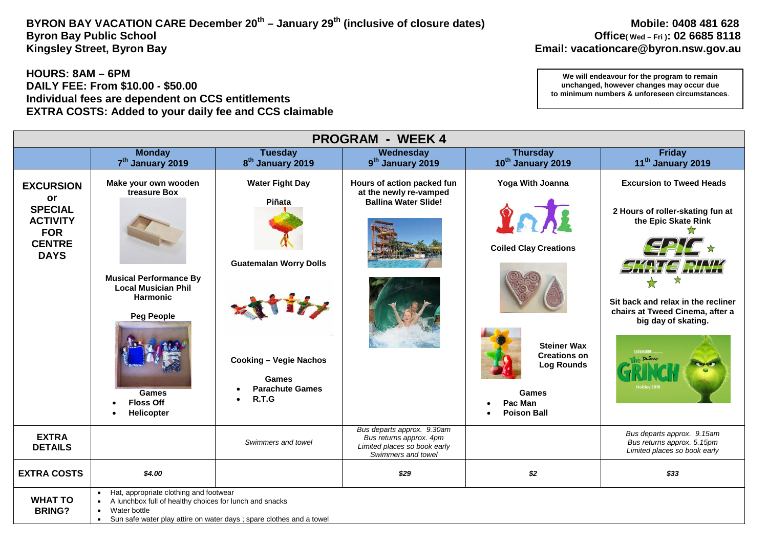## **BYRON BAY VACATION CARE December 20th – January 29th (inclusive of closure dates) Mobile: 0408 481 628 Byron Bay Public School Office( Wed – Fri ): 02 6685 8118**

#### **HOURS: 8AM – 6PM DAILY FEE: From \$10.00 - \$50.00 Individual fees are dependent on CCS entitlements EXTRA COSTS: Added to your daily fee and CCS claimable**

| <b>PROGRAM - WEEK 4</b>                                          |                                                                                                                                                                                                                      |                                               |                                                                                                             |                                                                |                                                                                              |  |  |
|------------------------------------------------------------------|----------------------------------------------------------------------------------------------------------------------------------------------------------------------------------------------------------------------|-----------------------------------------------|-------------------------------------------------------------------------------------------------------------|----------------------------------------------------------------|----------------------------------------------------------------------------------------------|--|--|
|                                                                  | <b>Monday</b>                                                                                                                                                                                                        | <b>Tuesday</b>                                | Wednesday                                                                                                   | <b>Thursday</b>                                                | <b>Friday</b>                                                                                |  |  |
|                                                                  | 7 <sup>th</sup> January 2019                                                                                                                                                                                         | 8 <sup>th</sup> January 2019                  | 9 <sup>th</sup> January 2019                                                                                | 10th January 2019                                              | 11 <sup>th</sup> January 2019                                                                |  |  |
| <b>EXCURSION</b><br>or                                           | Make your own wooden<br>treasure Box                                                                                                                                                                                 | <b>Water Fight Day</b><br>Piñata              | Hours of action packed fun<br>at the newly re-vamped<br><b>Ballina Water Slide!</b>                         | Yoga With Joanna                                               | <b>Excursion to Tweed Heads</b>                                                              |  |  |
| <b>SPECIAL</b><br><b>ACTIVITY</b><br><b>FOR</b><br><b>CENTRE</b> |                                                                                                                                                                                                                      |                                               |                                                                                                             | 2<br><b>Coiled Clay Creations</b>                              | 2 Hours of roller-skating fun at<br>the Epic Skate Rink                                      |  |  |
| <b>DAYS</b>                                                      | <b>Musical Performance By</b>                                                                                                                                                                                        | <b>Guatemalan Worry Dolls</b>                 |                                                                                                             |                                                                | 1 S 1 M 1 M                                                                                  |  |  |
|                                                                  | <b>Local Musician Phil</b><br><b>Harmonic</b><br><b>Peg People</b>                                                                                                                                                   |                                               |                                                                                                             |                                                                | Sit back and relax in the recliner<br>chairs at Tweed Cinema, after a<br>big day of skating. |  |  |
|                                                                  |                                                                                                                                                                                                                      | <b>Cooking - Vegie Nachos</b><br><b>Games</b> |                                                                                                             | <b>Steiner Wax</b><br><b>Creations on</b><br><b>Log Rounds</b> | Dr. Seuss                                                                                    |  |  |
|                                                                  | Games<br><b>Floss Off</b><br>Helicopter                                                                                                                                                                              | <b>Parachute Games</b><br>R.T.G<br>$\bullet$  |                                                                                                             | Games<br>Pac Man<br><b>Poison Ball</b>                         |                                                                                              |  |  |
| <b>EXTRA</b><br><b>DETAILS</b>                                   |                                                                                                                                                                                                                      | Swimmers and towel                            | Bus departs approx. 9.30am<br>Bus returns approx. 4pm<br>Limited places so book early<br>Swimmers and towel |                                                                | Bus departs approx. 9.15am<br>Bus returns approx. 5.15pm<br>Limited places so book early     |  |  |
| <b>EXTRA COSTS</b>                                               | \$4.00                                                                                                                                                                                                               |                                               | \$29                                                                                                        | \$2                                                            | \$33                                                                                         |  |  |
| <b>WHAT TO</b><br><b>BRING?</b>                                  | • Hat, appropriate clothing and footwear<br>A lunchbox full of healthy choices for lunch and snacks<br>Water bottle<br>$\bullet$<br>Sun safe water play attire on water days; spare clothes and a towel<br>$\bullet$ |                                               |                                                                                                             |                                                                |                                                                                              |  |  |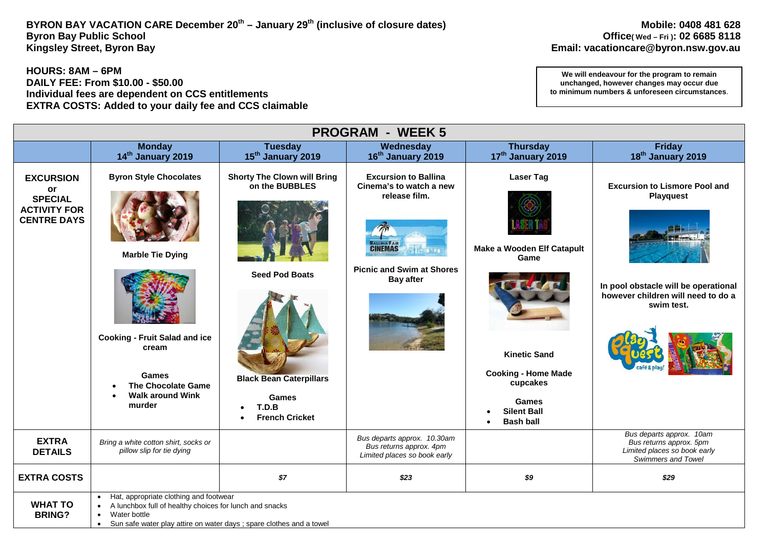### BYRON BAY VACATION CARE December 20<sup>th</sup> – January 29<sup>th</sup> (inclusive of closure dates) Mobile: 0408 481 628 Mobile: 0408 481 628<br>Office(wed – Fri): 02 6685 8118 **Byron Bay Public School Office( Wed – Fri ): 02 6685 8118**

**HOURS: 8AM – 6PM DAILY FEE: From \$10.00 - \$50.00 Individual fees are dependent on CCS entitlements EXTRA COSTS: Added to your daily fee and CCS claimable** 

| <b>PROGRAM - WEEK 5</b>                                                               |                                                                                                                                                                                                        |                                                                                                                 |                                                                                                                                                                      |                                                                                                             |                                                                                                                                                      |  |  |
|---------------------------------------------------------------------------------------|--------------------------------------------------------------------------------------------------------------------------------------------------------------------------------------------------------|-----------------------------------------------------------------------------------------------------------------|----------------------------------------------------------------------------------------------------------------------------------------------------------------------|-------------------------------------------------------------------------------------------------------------|------------------------------------------------------------------------------------------------------------------------------------------------------|--|--|
|                                                                                       | <b>Monday</b><br>14th January 2019                                                                                                                                                                     | <b>Tuesday</b><br>15 <sup>th</sup> January 2019                                                                 | Wednesday<br>16 <sup>th</sup> January 2019                                                                                                                           | <b>Thursday</b><br>17th January 2019                                                                        | <b>Friday</b><br>18 <sup>th</sup> January 2019                                                                                                       |  |  |
| <b>EXCURSION</b><br>or<br><b>SPECIAL</b><br><b>ACTIVITY FOR</b><br><b>CENTRE DAYS</b> | <b>Byron Style Chocolates</b><br><b>Marble Tie Dying</b><br><b>Cooking - Fruit Salad and ice</b><br>cream<br><b>Games</b>                                                                              | <b>Shorty The Clown will Bring</b><br>on the BUBBLES<br><b>Seed Pod Boats</b><br><b>Black Bean Caterpillars</b> | <b>Excursion to Ballina</b><br>Cinema's to watch a new<br>release film.<br><b>CINEMAS</b><br><b>WALEDAMO</b><br><b>Picnic and Swim at Shores</b><br><b>Bay after</b> | <b>Laser Tag</b><br>Make a Wooden Elf Catapult<br>Game<br><b>Kinetic Sand</b><br><b>Cooking - Home Made</b> | <b>Excursion to Lismore Pool and</b><br><b>Playquest</b><br>In pool obstacle will be operational<br>however children will need to do a<br>swim test. |  |  |
|                                                                                       | <b>The Chocolate Game</b><br><b>Walk around Wink</b><br>murder                                                                                                                                         | <b>Games</b><br>T.D.B<br>$\bullet$<br><b>French Cricket</b>                                                     |                                                                                                                                                                      | cupcakes<br>Games<br><b>Silent Ball</b><br><b>Bash ball</b>                                                 |                                                                                                                                                      |  |  |
| <b>EXTRA</b><br><b>DETAILS</b>                                                        | Bring a white cotton shirt, socks or<br>pillow slip for tie dying                                                                                                                                      |                                                                                                                 | Bus departs approx. 10.30am<br>Bus returns approx. 4pm<br>Limited places so book early                                                                               |                                                                                                             | Bus departs approx. 10am<br>Bus returns approx. 5pm<br>Limited places so book early<br>Swimmers and Towel                                            |  |  |
| <b>EXTRA COSTS</b>                                                                    |                                                                                                                                                                                                        | \$7                                                                                                             | \$23                                                                                                                                                                 | \$9                                                                                                         | \$29                                                                                                                                                 |  |  |
| <b>WHAT TO</b><br><b>BRING?</b>                                                       | Hat, appropriate clothing and footwear<br>A lunchbox full of healthy choices for lunch and snacks<br>Water bottle<br>Sun safe water play attire on water days ; spare clothes and a towel<br>$\bullet$ |                                                                                                                 |                                                                                                                                                                      |                                                                                                             |                                                                                                                                                      |  |  |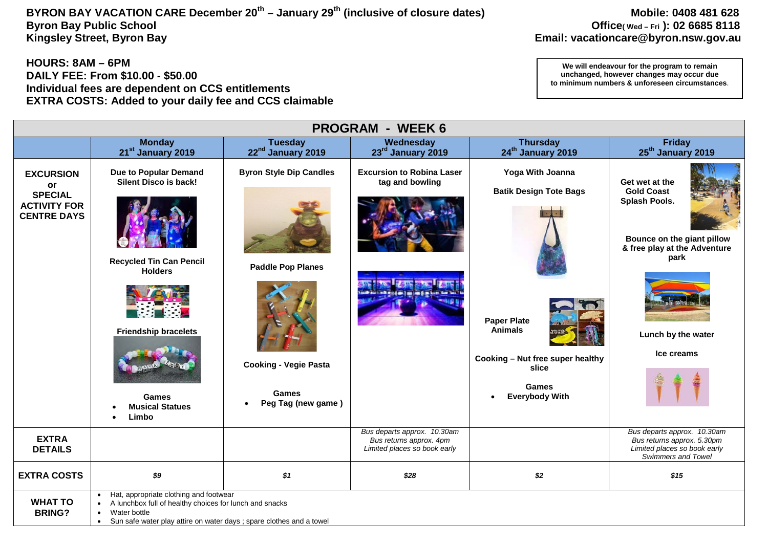## **BYRON BAY VACATION CARE December 20th – January 29th (inclusive of closure dates) Mobile: 0408 481 628 Byron Bay Public School Office( Wed – Fri ): 02 6685 8118**

#### **HOURS: 8AM – 6PM DAILY FEE: From \$10.00 - \$50.00 Individual fees are dependent on CCS entitlements EXTRA COSTS: Added to your daily fee and CCS claimable**

| <b>PROGRAM - WEEK 6</b>                                                               |                                                                                                                                                                                                                     |                                                                                                                                  |                                                                                        |                                                                                                                                                                                       |                                                                                                                                                                |  |  |
|---------------------------------------------------------------------------------------|---------------------------------------------------------------------------------------------------------------------------------------------------------------------------------------------------------------------|----------------------------------------------------------------------------------------------------------------------------------|----------------------------------------------------------------------------------------|---------------------------------------------------------------------------------------------------------------------------------------------------------------------------------------|----------------------------------------------------------------------------------------------------------------------------------------------------------------|--|--|
|                                                                                       | <b>Monday</b><br>21 <sup>st</sup> January 2019                                                                                                                                                                      | <b>Tuesday</b><br>22 <sup>nd</sup> January 2019                                                                                  | Wednesday<br>23rd January 2019                                                         | <b>Thursday</b><br>24 <sup>th</sup> January 2019                                                                                                                                      | <b>Friday</b><br>25 <sup>th</sup> January 2019                                                                                                                 |  |  |
| <b>EXCURSION</b><br>or<br><b>SPECIAL</b><br><b>ACTIVITY FOR</b><br><b>CENTRE DAYS</b> | <b>Due to Popular Demand</b><br>Silent Disco is back!<br><b>Recycled Tin Can Pencil</b><br><b>Holders</b><br><b>Friendship bracelets</b><br>Games<br><b>Musical Statues</b><br>Limbo                                | <b>Byron Style Dip Candles</b><br><b>Paddle Pop Planes</b><br><b>Cooking - Vegie Pasta</b><br><b>Games</b><br>Peg Tag (new game) | <b>Excursion to Robina Laser</b><br>tag and bowling                                    | Yoga With Joanna<br><b>Batik Design Tote Bags</b><br><b>Paper Plate</b><br><b>Animals</b><br>Cooking - Nut free super healthy<br>slice<br>Games<br><b>Everybody With</b><br>$\bullet$ | Get wet at the<br><b>Gold Coast</b><br>Splash Pools.<br>Bounce on the giant pillow<br>& free play at the Adventure<br>park<br>Lunch by the water<br>Ice creams |  |  |
| <b>EXTRA</b><br><b>DETAILS</b>                                                        |                                                                                                                                                                                                                     |                                                                                                                                  | Bus departs approx. 10.30am<br>Bus returns approx. 4pm<br>Limited places so book early |                                                                                                                                                                                       | Bus departs approx. 10.30am<br>Bus returns approx. 5.30pm<br>Limited places so book early<br><b>Swimmers and Towel</b>                                         |  |  |
| <b>EXTRA COSTS</b>                                                                    | \$9                                                                                                                                                                                                                 | \$1                                                                                                                              | \$28                                                                                   | \$2                                                                                                                                                                                   | \$15                                                                                                                                                           |  |  |
| <b>WHAT TO</b><br><b>BRING?</b>                                                       | Hat, appropriate clothing and footwear<br>A lunchbox full of healthy choices for lunch and snacks<br>Water bottle<br>$\bullet$<br>Sun safe water play attire on water days ; spare clothes and a towel<br>$\bullet$ |                                                                                                                                  |                                                                                        |                                                                                                                                                                                       |                                                                                                                                                                |  |  |